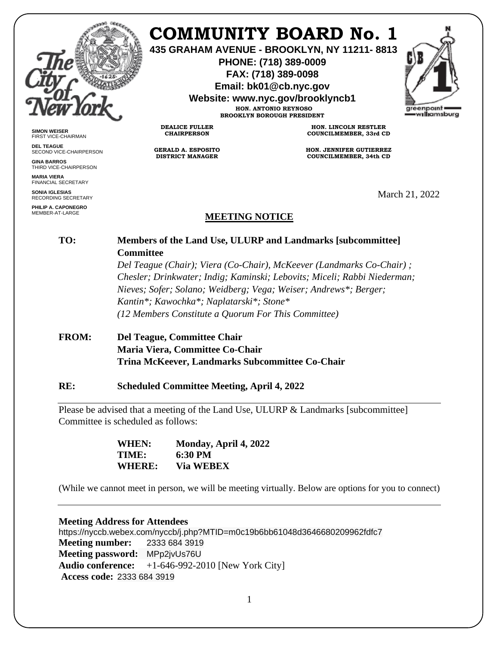

**SIMON WEISER** FIRST VICE-CHAIRMAN **DEL TEAGUE**

**GINA BARROS** THIRD VICE-CHAIRPERSON

**MARIA VIERA** FINANCIAL SECRETARY **SONIA IGLESIAS** RECORDING SECRETARY **PHILIP A. CAPONEGRO** MEMBER-AT-LARGE

SECOND VICE-CHAIRPERSON

# **COMMUNITY BOARD No. 1**

**435 GRAHAM AVENUE - BROOKLYN, NY 11211- 8813**

**PHONE: (718) 389-0009 FAX: (718) 389-0098**

**Email: bk01@cb.nyc.gov**

**Website: www.nyc.gov/brooklyncb1**

**HON. ANTONIO REYNOSO BROOKLYN BOROUGH PRESIDENT**

**DEALICE FULLER CHAIRPERSON**

**GERALD A. ESPOSITO DISTRICT MANAGER**

**HON. LINCOLN RESTLER COUNCILMEMBER, 33rd CD**

**HON. JENNIFER GUTIERREZ COUNCILMEMBER, 34th CD**

March 21, 2022

## **MEETING NOTICE**

## **TO: Members of the Land Use, ULURP and Landmarks [subcommittee] Committee**

*Del Teague (Chair); Viera (Co-Chair), McKeever (Landmarks Co-Chair) ; Chesler; Drinkwater; Indig; Kaminski; Lebovits; Miceli; Rabbi Niederman; Nieves; Sofer; Solano; Weidberg; Vega; Weiser; Andrews\*; Berger; Kantin\*; Kawochka\*; Naplatarski\*; Stone\* (12 Members Constitute a Quorum For This Committee)*

## **FROM: Del Teague, Committee Chair Maria Viera, Committee Co-Chair Trina McKeever, Landmarks Subcommittee Co-Chair**

#### **RE: Scheduled Committee Meeting, April 4, 2022**

Please be advised that a meeting of the Land Use, ULURP & Landmarks [subcommittee] Committee is scheduled as follows:

> **WHEN: Monday, April 4, 2022 TIME: 6:30 PM WHERE: Via WEBEX**

(While we cannot meet in person, we will be meeting virtually. Below are options for you to connect)

#### **Meeting Address for Attendees**

https://nyccb.webex.com/nyccb/j.php?MTID=m0c19b6bb61048d3646680209962fdfc7 **Meeting number:** 2333 684 3919 **Meeting password:** MPp2jvUs76U **Audio conference:** +1-646-992-2010 [New York City] **Access code:** 2333 684 3919